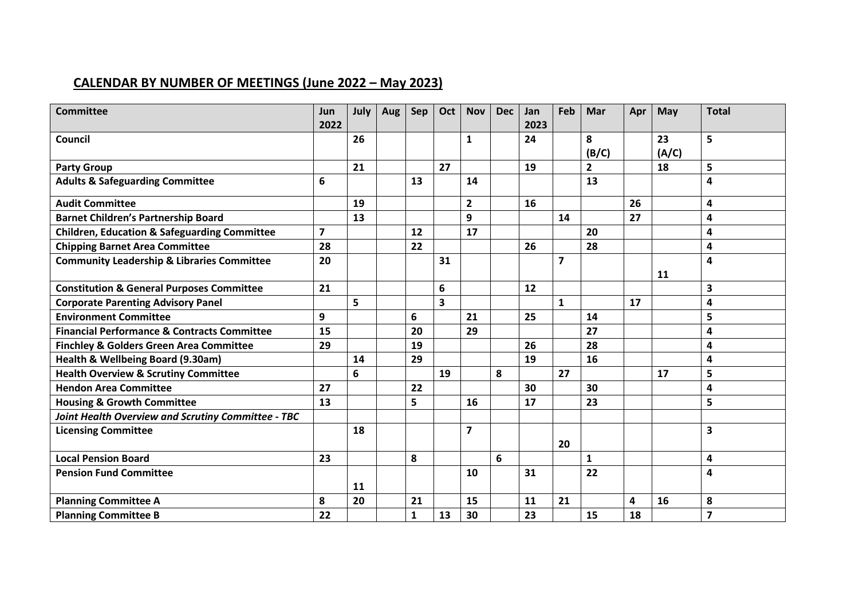## **CALENDAR BY NUMBER OF MEETINGS (June 2022 – May 2023)**

| <b>Committee</b>                                        | Jun<br>2022    | July | Aug | Sep | Oct | <b>Nov</b>     | <b>Dec</b> | Jan<br>2023 | Feb                     | Mar            | Apr | May   | <b>Total</b>   |
|---------------------------------------------------------|----------------|------|-----|-----|-----|----------------|------------|-------------|-------------------------|----------------|-----|-------|----------------|
|                                                         |                |      |     |     |     |                |            |             |                         |                |     |       |                |
| Council                                                 |                | 26   |     |     |     | 1              |            | 24          |                         | 8              |     | 23    | 5              |
|                                                         |                |      |     |     |     |                |            |             |                         | (B/C)          |     | (A/C) |                |
| <b>Party Group</b>                                      |                | 21   |     |     | 27  |                |            | 19          |                         | $\overline{2}$ |     | 18    | 5              |
| <b>Adults &amp; Safeguarding Committee</b>              | 6              |      |     | 13  |     | 14             |            |             |                         | 13             |     |       | 4              |
| <b>Audit Committee</b>                                  |                | 19   |     |     |     | $\mathbf{2}$   |            | 16          |                         |                | 26  |       | 4              |
| <b>Barnet Children's Partnership Board</b>              |                | 13   |     |     |     | 9              |            |             | 14                      |                | 27  |       | 4              |
| <b>Children, Education &amp; Safeguarding Committee</b> | $\overline{7}$ |      |     | 12  |     | 17             |            |             |                         | 20             |     |       | 4              |
| <b>Chipping Barnet Area Committee</b>                   | 28             |      |     | 22  |     |                |            | 26          |                         | 28             |     |       | 4              |
| <b>Community Leadership &amp; Libraries Committee</b>   | 20             |      |     |     | 31  |                |            |             | $\overline{\mathbf{z}}$ |                |     |       | 4              |
|                                                         |                |      |     |     |     |                |            |             |                         |                |     | 11    |                |
| <b>Constitution &amp; General Purposes Committee</b>    | 21             |      |     |     | 6   |                |            | 12          |                         |                |     |       | 3              |
| <b>Corporate Parenting Advisory Panel</b>               |                | 5    |     |     | 3   |                |            |             | $\mathbf{1}$            |                | 17  |       | 4              |
| <b>Environment Committee</b>                            | 9              |      |     | 6   |     | 21             |            | 25          |                         | 14             |     |       | 5              |
| <b>Financial Performance &amp; Contracts Committee</b>  | 15             |      |     | 20  |     | 29             |            |             |                         | 27             |     |       | 4              |
| <b>Finchley &amp; Golders Green Area Committee</b>      | 29             |      |     | 19  |     |                |            | 26          |                         | 28             |     |       | 4              |
| Health & Wellbeing Board (9.30am)                       |                | 14   |     | 29  |     |                |            | 19          |                         | 16             |     |       | 4              |
| <b>Health Overview &amp; Scrutiny Committee</b>         |                | 6    |     |     | 19  |                | 8          |             | 27                      |                |     | 17    | 5              |
| <b>Hendon Area Committee</b>                            | 27             |      |     | 22  |     |                |            | 30          |                         | 30             |     |       | 4              |
| <b>Housing &amp; Growth Committee</b>                   | 13             |      |     | 5   |     | 16             |            | 17          |                         | 23             |     |       | 5              |
| Joint Health Overview and Scrutiny Committee - TBC      |                |      |     |     |     |                |            |             |                         |                |     |       |                |
| <b>Licensing Committee</b>                              |                | 18   |     |     |     | $\overline{7}$ |            |             |                         |                |     |       | 3              |
|                                                         |                |      |     |     |     |                |            |             | 20                      |                |     |       |                |
| <b>Local Pension Board</b>                              | 23             |      |     | 8   |     |                | 6          |             |                         | $\mathbf{1}$   |     |       | 4              |
| <b>Pension Fund Committee</b>                           |                |      |     |     |     | 10             |            | 31          |                         | 22             |     |       | 4              |
|                                                         |                | 11   |     |     |     |                |            |             |                         |                |     |       |                |
| <b>Planning Committee A</b>                             | 8              | 20   |     | 21  |     | 15             |            | 11          | 21                      |                | 4   | 16    | 8              |
| <b>Planning Committee B</b>                             | 22             |      |     | 1   | 13  | 30             |            | 23          |                         | 15             | 18  |       | $\overline{7}$ |